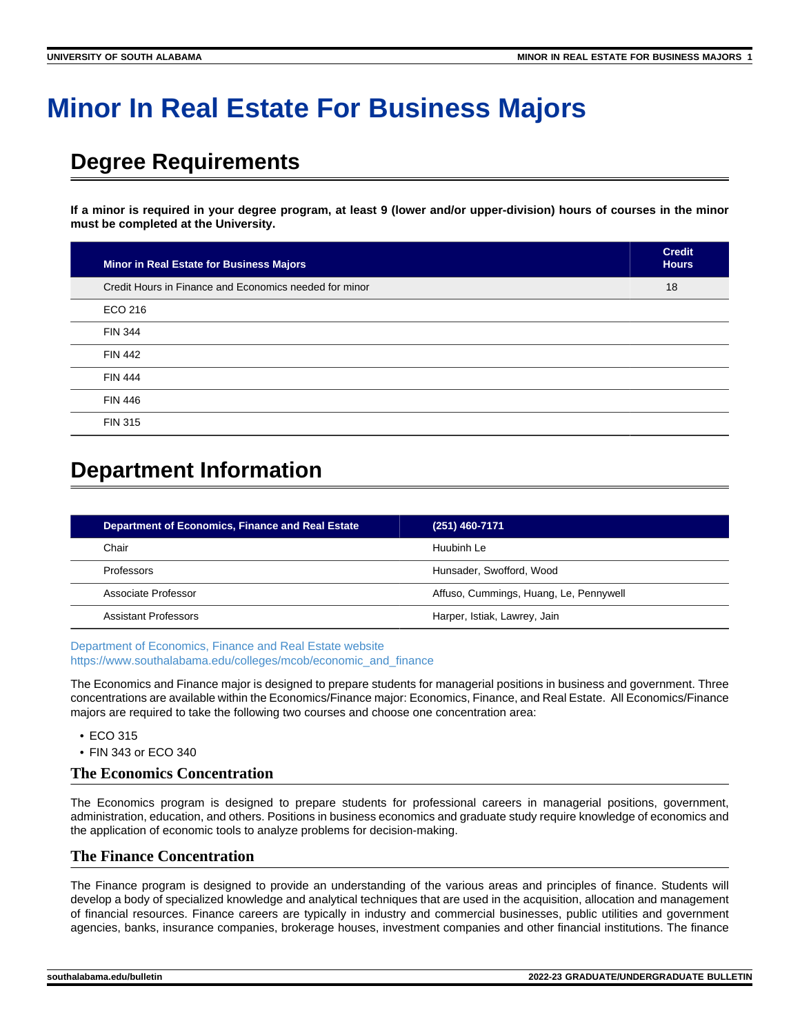# **Minor In Real Estate For Business Majors**

# **Degree Requirements**

**If a minor is required in your degree program, at least 9 (lower and/or upper-division) hours of courses in the minor must be completed at the University.**

| Minor in Real Estate for Business Majors               | <b>Credit</b><br><b>Hours</b> |
|--------------------------------------------------------|-------------------------------|
| Credit Hours in Finance and Economics needed for minor | 18                            |
| ECO 216                                                |                               |
| <b>FIN 344</b>                                         |                               |
| <b>FIN 442</b>                                         |                               |
| <b>FIN 444</b>                                         |                               |
| <b>FIN 446</b>                                         |                               |
| <b>FIN 315</b>                                         |                               |

# **Department Information**

| <b>Department of Economics, Finance and Real Estate</b> | $(251)$ 460-7171                       |
|---------------------------------------------------------|----------------------------------------|
| Chair                                                   | Huubinh Le                             |
| Professors                                              | Hunsader, Swofford, Wood               |
| Associate Professor                                     | Affuso, Cummings, Huang, Le, Pennywell |
| Assistant Professors                                    | Harper, Istiak, Lawrey, Jain           |

[Department of Economics, Finance and Real Estate website](https://www.southalabama.edu/colleges/mcob/economic_and_finance/) [https://www.southalabama.edu/colleges/mcob/economic\\_and\\_finance](https://www.southalabama.edu/colleges/mcob/economic_and_finance)

The Economics and Finance major is designed to prepare students for managerial positions in business and government. Three concentrations are available within the Economics/Finance major: Economics, Finance, and Real Estate. All Economics/Finance majors are required to take the following two courses and choose one concentration area:

- ECO 315
- FIN 343 or ECO 340

#### **The Economics Concentration**

The Economics program is designed to prepare students for professional careers in managerial positions, government, administration, education, and others. Positions in business economics and graduate study require knowledge of economics and the application of economic tools to analyze problems for decision-making.

### **The Finance Concentration**

The Finance program is designed to provide an understanding of the various areas and principles of finance. Students will develop a body of specialized knowledge and analytical techniques that are used in the acquisition, allocation and management of financial resources. Finance careers are typically in industry and commercial businesses, public utilities and government agencies, banks, insurance companies, brokerage houses, investment companies and other financial institutions. The finance